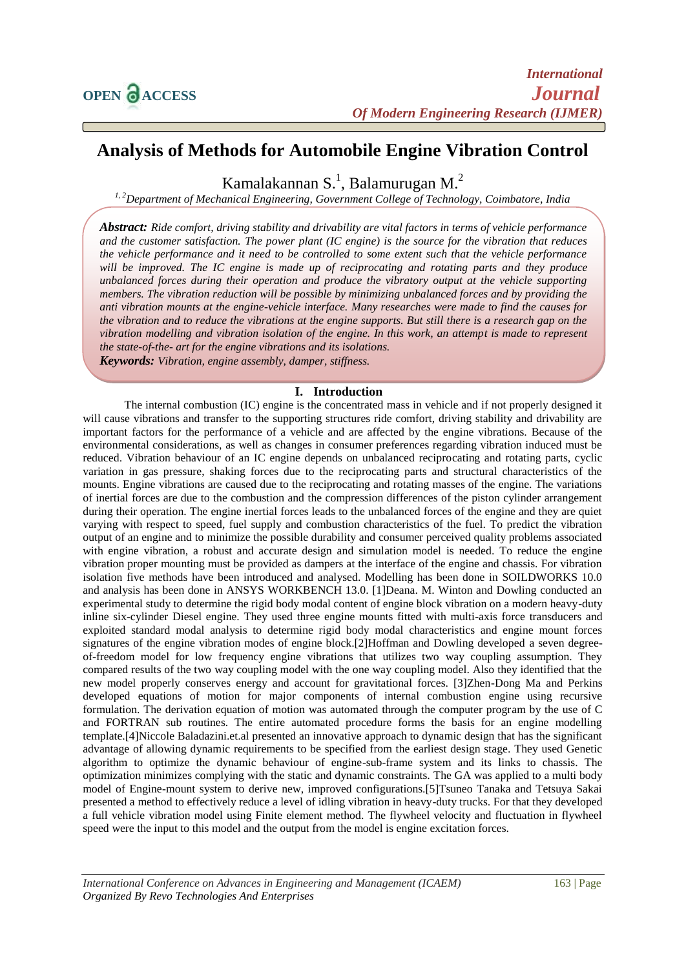# **Analysis of Methods for Automobile Engine Vibration Control**

Kamalakannan S.<sup>1</sup>, Balamurugan M.<sup>2</sup>

*1, 2Department of Mechanical Engineering, Government College of Technology, Coimbatore, India*

*Abstract: Ride comfort, driving stability and drivability are vital factors in terms of vehicle performance and the customer satisfaction. The power plant (IC engine) is the source for the vibration that reduces the vehicle performance and it need to be controlled to some extent such that the vehicle performance will be improved. The IC engine is made up of reciprocating and rotating parts and they produce unbalanced forces during their operation and produce the vibratory output at the vehicle supporting members. The vibration reduction will be possible by minimizing unbalanced forces and by providing the anti vibration mounts at the engine-vehicle interface. Many researches were made to find the causes for the vibration and to reduce the vibrations at the engine supports. But still there is a research gap on the vibration modelling and vibration isolation of the engine. In this work, an attempt is made to represent the state-of-the- art for the engine vibrations and its isolations.* 

*Keywords: Vibration, engine assembly, damper, stiffness.*

## **I. Introduction**

The internal combustion (IC) engine is the concentrated mass in vehicle and if not properly designed it will cause vibrations and transfer to the supporting structures ride comfort, driving stability and drivability are important factors for the performance of a vehicle and are affected by the engine vibrations. Because of the environmental considerations, as well as changes in consumer preferences regarding vibration induced must be reduced. Vibration behaviour of an IC engine depends on unbalanced reciprocating and rotating parts, cyclic variation in gas pressure, shaking forces due to the reciprocating parts and structural characteristics of the mounts. Engine vibrations are caused due to the reciprocating and rotating masses of the engine. The variations of inertial forces are due to the combustion and the compression differences of the piston cylinder arrangement during their operation. The engine inertial forces leads to the unbalanced forces of the engine and they are quiet varying with respect to speed, fuel supply and combustion characteristics of the fuel. To predict the vibration output of an engine and to minimize the possible durability and consumer perceived quality problems associated with engine vibration, a robust and accurate design and simulation model is needed. To reduce the engine vibration proper mounting must be provided as dampers at the interface of the engine and chassis. For vibration isolation five methods have been introduced and analysed. Modelling has been done in SOILDWORKS 10.0 and analysis has been done in ANSYS WORKBENCH 13.0. [1]Deana. M. Winton and Dowling conducted an experimental study to determine the rigid body modal content of engine block vibration on a modern heavy-duty inline six-cylinder Diesel engine. They used three engine mounts fitted with multi-axis force transducers and exploited standard modal analysis to determine rigid body modal characteristics and engine mount forces signatures of the engine vibration modes of engine block.[2]Hoffman and Dowling developed a seven degreeof-freedom model for low frequency engine vibrations that utilizes two way coupling assumption. They compared results of the two way coupling model with the one way coupling model. Also they identified that the new model properly conserves energy and account for gravitational forces. [3]Zhen-Dong Ma and Perkins developed equations of motion for major components of internal combustion engine using recursive formulation. The derivation equation of motion was automated through the computer program by the use of C and FORTRAN sub routines. The entire automated procedure forms the basis for an engine modelling template.[4]Niccole Baladazini.et.al presented an innovative approach to dynamic design that has the significant advantage of allowing dynamic requirements to be specified from the earliest design stage. They used Genetic algorithm to optimize the dynamic behaviour of engine-sub-frame system and its links to chassis. The optimization minimizes complying with the static and dynamic constraints. The GA was applied to a multi body model of Engine-mount system to derive new, improved configurations.[5]Tsuneo Tanaka and Tetsuya Sakai presented a method to effectively reduce a level of idling vibration in heavy-duty trucks. For that they developed a full vehicle vibration model using Finite element method. The flywheel velocity and fluctuation in flywheel speed were the input to this model and the output from the model is engine excitation forces.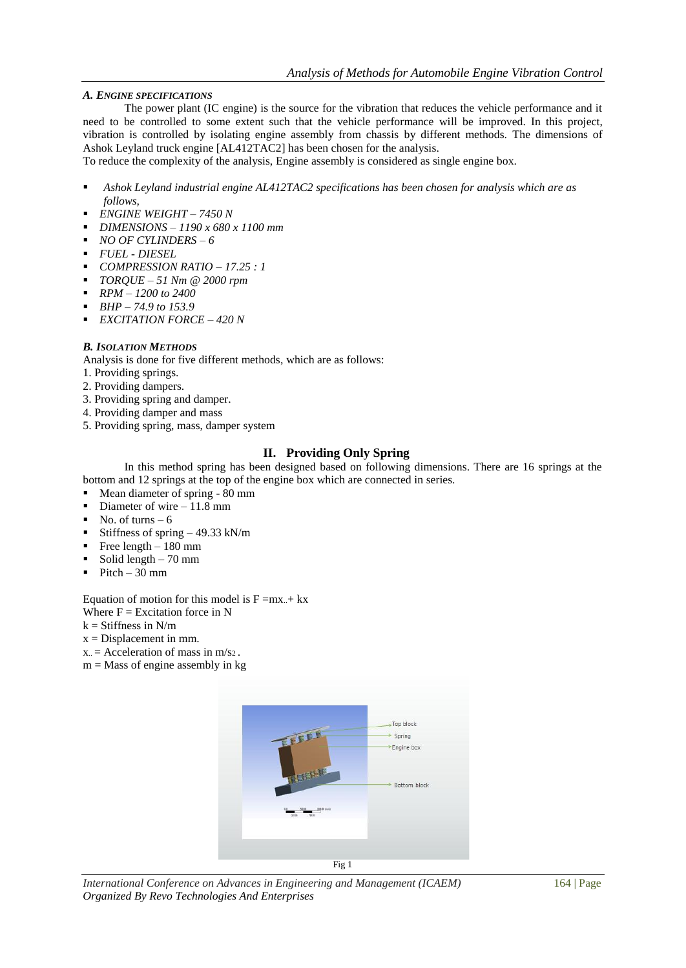## *A. ENGINE SPECIFICATIONS*

The power plant (IC engine) is the source for the vibration that reduces the vehicle performance and it need to be controlled to some extent such that the vehicle performance will be improved. In this project, vibration is controlled by isolating engine assembly from chassis by different methods. The dimensions of Ashok Leyland truck engine [AL412TAC2] has been chosen for the analysis.

To reduce the complexity of the analysis, Engine assembly is considered as single engine box.

- *Ashok Leyland industrial engine AL412TAC2 specifications has been chosen for analysis which are as follows,*
- *ENGINE WEIGHT – 7450 N*
- *DIMENSIONS – 1190 x 680 x 1100 mm*
- *NO OF CYLINDERS – 6*
- *FUEL - DIESEL*
- *COMPRESSION RATIO – 17.25 : 1*
- *TORQUE – 51 Nm @ 2000 rpm*
- *RPM – 1200 to 2400*
- *BHP – 74.9 to 153.9*
- *EXCITATION FORCE – 420 N*

## *B. ISOLATION METHODS*

Analysis is done for five different methods, which are as follows:

- 1. Providing springs.
- 2. Providing dampers.
- 3. Providing spring and damper.
- 4. Providing damper and mass
- 5. Providing spring, mass, damper system

## **II. Providing Only Spring**

In this method spring has been designed based on following dimensions. There are 16 springs at the bottom and 12 springs at the top of the engine box which are connected in series.

- Mean diameter of spring 80 mm
- Diameter of wire 11.8 mm
- No. of turns  $-6$
- Stiffness of spring 49.33 kN/m
- Free length 180 mm
- Solid length  $-70$  mm
- $\blacksquare$  Pitch 30 mm

Equation of motion for this model is  $F = mx + kx$ Where  $F = Excitation$  force in N

- $k =$  Stiffness in N/m
- 
- $x = Displacement in mm$ .
- $x =$  Acceleration of mass in m/s2.
- $m =$ Mass of engine assembly in kg



Fig 1

*International Conference on Advances in Engineering and Management (ICAEM)* 164 | Page *Organized By Revo Technologies And Enterprises*